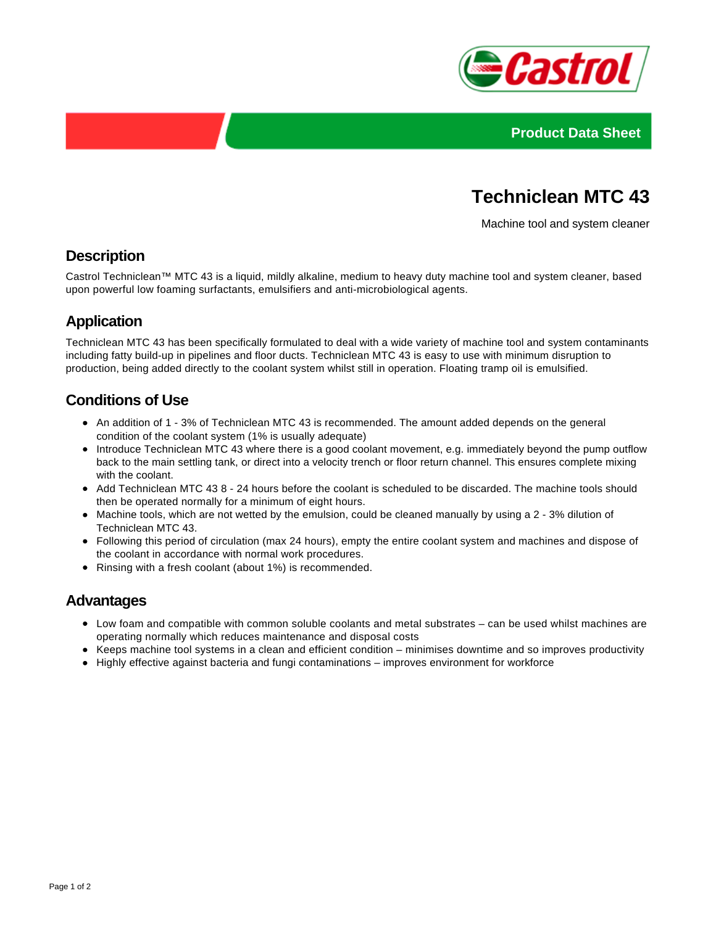



# **Techniclean MTC 43**

Machine tool and system cleaner

## **Description**

Castrol Techniclean™ MTC 43 is a liquid, mildly alkaline, medium to heavy duty machine tool and system cleaner, based upon powerful low foaming surfactants, emulsifiers and anti-microbiological agents.

# **Application**

Techniclean MTC 43 has been specifically formulated to deal with a wide variety of machine tool and system contaminants including fatty build-up in pipelines and floor ducts. Techniclean MTC 43 is easy to use with minimum disruption to production, being added directly to the coolant system whilst still in operation. Floating tramp oil is emulsified.

# **Conditions of Use**

- An addition of 1 3% of Techniclean MTC 43 is recommended. The amount added depends on the general condition of the coolant system (1% is usually adequate)
- Introduce Techniclean MTC 43 where there is a good coolant movement, e.g. immediately beyond the pump outflow back to the main settling tank, or direct into a velocity trench or floor return channel. This ensures complete mixing with the coolant.
- Add Techniclean MTC 43 8 24 hours before the coolant is scheduled to be discarded. The machine tools should then be operated normally for a minimum of eight hours.
- Machine tools, which are not wetted by the emulsion, could be cleaned manually by using a 2 3% dilution of Techniclean MTC 43.
- Following this period of circulation (max 24 hours), empty the entire coolant system and machines and dispose of the coolant in accordance with normal work procedures.
- Rinsing with a fresh coolant (about 1%) is recommended.

#### **Advantages**

- Low foam and compatible with common soluble coolants and metal substrates can be used whilst machines are operating normally which reduces maintenance and disposal costs
- Keeps machine tool systems in a clean and efficient condition minimises downtime and so improves productivity
- Highly effective against bacteria and fungi contaminations improves environment for workforce